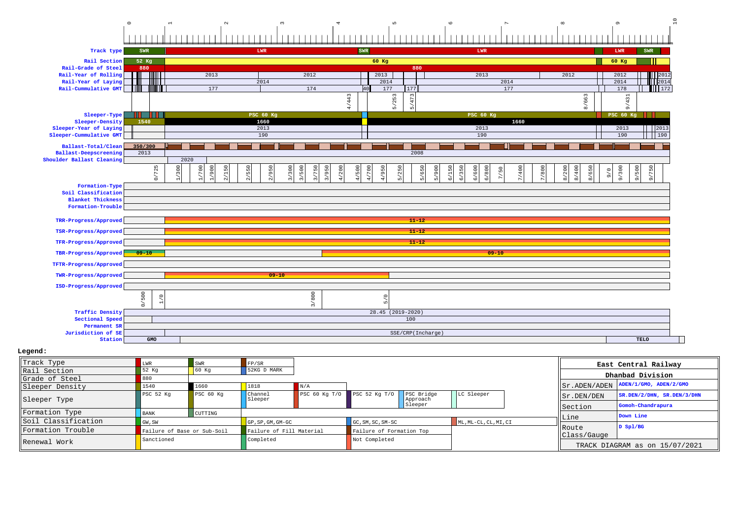## 0123456789 10

| Track type                            | SWR                 |                                                             | LWR                                                   | SWR                                     |                                 | LWR                                                                   |                                         | LWR<br>SWR              |  |  |
|---------------------------------------|---------------------|-------------------------------------------------------------|-------------------------------------------------------|-----------------------------------------|---------------------------------|-----------------------------------------------------------------------|-----------------------------------------|-------------------------|--|--|
| Rail Section                          | 52 Kg               |                                                             |                                                       | 60 Kg                                   |                                 |                                                                       |                                         |                         |  |  |
| Rail-Grade of Steel                   | 880                 |                                                             |                                                       |                                         | 880                             |                                                                       |                                         |                         |  |  |
| Rail-Year of Rolling                  | TITULT              | 2013                                                        | 2012                                                  |                                         | 2013                            | 2013                                                                  | 2012                                    | 2012<br>12012           |  |  |
| Rail-Year of Laying                   | IIIIIIT             |                                                             | 2014                                                  |                                         | 2014                            | 2014                                                                  |                                         | 2014<br>112014          |  |  |
| Rail-Cummulative GMT                  | <b>THEFT I</b><br>H | 177                                                         | 174                                                   | 40                                      | 177<br>177                      | 177                                                                   |                                         | 178<br>    172          |  |  |
|                                       |                     |                                                             |                                                       | /443                                    | /253<br>$\overline{ }$          |                                                                       | /663                                    | /431                    |  |  |
|                                       |                     |                                                             |                                                       | ਚਾਂ                                     | மி<br>$\overline{16}$           |                                                                       | $\infty$                                | $\sigma$                |  |  |
| Sleeper-Type                          | Ш<br>. .            |                                                             | PSC 60 Kg                                             |                                         |                                 | <b>PSC 60 Kg</b>                                                      |                                         | <b>PSC 60 Kg</b>        |  |  |
| Sleeper-Density                       | 1540                |                                                             | 1660                                                  |                                         |                                 | 1660                                                                  |                                         |                         |  |  |
| Sleeper-Year of Laying                |                     |                                                             | 2013                                                  |                                         |                                 | 2013                                                                  |                                         | 12013<br>2013           |  |  |
| Sleeper-Cummulative GMT               |                     |                                                             | 190                                                   |                                         |                                 | 190                                                                   |                                         | 190<br>1190             |  |  |
| Ballast-Total/Clean                   | 350/300             |                                                             |                                                       |                                         |                                 |                                                                       |                                         |                         |  |  |
| Ballast-Deepscreening                 | 2013                |                                                             |                                                       |                                         | 2008                            |                                                                       |                                         |                         |  |  |
| Shoulder Ballast Cleaning             |                     | 2020                                                        |                                                       |                                         |                                 |                                                                       |                                         |                         |  |  |
|                                       | 725                 | $\circ$<br>$\frac{5}{2}$<br>$150$<br>550                    | 300<br>750                                            | 200<br>700                              | $250\,$                         | 600<br>400                                                            |                                         |                         |  |  |
|                                       | $\delta$            | 1/900<br>$\overline{30}$<br>$\tilde{a}$<br>$\tilde{\alpha}$ | 2/950<br>3/500<br>3/950<br>$\tilde{a}$<br>$\tilde{s}$ | 4/500<br>$\frac{1}{4}$<br>$\rightarrow$ | 4/950<br>5/650<br>$\frac{1}{2}$ | 6/350<br>6/800<br>5/900<br>6/150<br>7/50<br>$\tilde{\circ}$<br>$\geq$ | 7/800<br>8/200<br>8/650<br>8/400<br>9/6 | 9/300<br>9/500<br>9/750 |  |  |
|                                       |                     |                                                             |                                                       |                                         |                                 |                                                                       |                                         |                         |  |  |
| Formation-Type<br>Soil Classification |                     |                                                             |                                                       |                                         |                                 |                                                                       |                                         |                         |  |  |
| <b>Blanket Thickness</b>              |                     |                                                             |                                                       |                                         |                                 |                                                                       |                                         |                         |  |  |
| Formation-Trouble                     |                     |                                                             |                                                       |                                         |                                 |                                                                       |                                         |                         |  |  |
|                                       |                     |                                                             |                                                       |                                         |                                 |                                                                       |                                         |                         |  |  |
| TRR-Progress/Approved                 |                     |                                                             |                                                       |                                         | $11 - 12$                       |                                                                       |                                         |                         |  |  |
| TSR-Progress/Approved                 |                     |                                                             |                                                       |                                         | $11 - 12$                       |                                                                       |                                         |                         |  |  |
|                                       |                     |                                                             |                                                       |                                         |                                 |                                                                       |                                         |                         |  |  |
| TFR-Progress/Approved                 |                     |                                                             |                                                       |                                         | $11 - 12$                       |                                                                       |                                         |                         |  |  |
| TBR-Progress/Approved                 | $-09 - 10$          |                                                             |                                                       |                                         |                                 | $09 - 10$                                                             |                                         |                         |  |  |
| TFTR-Progress/Approved                |                     |                                                             |                                                       |                                         |                                 |                                                                       |                                         |                         |  |  |
| TWR-Progress/Approved                 |                     |                                                             | $09 - 10$                                             |                                         |                                 |                                                                       |                                         |                         |  |  |
| ISD-Progress/Approved                 |                     |                                                             |                                                       |                                         |                                 |                                                                       |                                         |                         |  |  |
|                                       |                     |                                                             |                                                       |                                         |                                 |                                                                       |                                         |                         |  |  |
|                                       | 500<br>$\circ$      |                                                             | 3/800                                                 |                                         | $\circ$                         |                                                                       |                                         |                         |  |  |
|                                       | s,                  |                                                             |                                                       |                                         | $\overline{10}$                 |                                                                       |                                         |                         |  |  |
| <b>Traffic Density</b>                |                     |                                                             |                                                       |                                         | $28.45(2019-2020)$              |                                                                       |                                         |                         |  |  |
| Sectional Speed                       |                     |                                                             |                                                       |                                         | 100                             |                                                                       |                                         |                         |  |  |
| Permanent SR                          |                     |                                                             |                                                       |                                         |                                 |                                                                       |                                         |                         |  |  |
| Jurisdiction of SE                    |                     |                                                             |                                                       |                                         | SSE/CRP(Incharge)               |                                                                       |                                         |                         |  |  |
| Station                               | GMO                 |                                                             |                                                       |                                         |                                 |                                                                       |                                         | TELO                    |  |  |

## **Legend:**

| Track Type          | LWR                                                     | SWR                  | FP/SR                            |                 |                   |                        |                       |            |                                | East Central Railway       |
|---------------------|---------------------------------------------------------|----------------------|----------------------------------|-----------------|-------------------|------------------------|-----------------------|------------|--------------------------------|----------------------------|
| Rail Section        | 52 Kg                                                   | 60 Kq                | 52KG D MARK                      |                 |                   |                        |                       |            |                                | Dhanbad Division           |
| Grade of Steel      | 880                                                     |                      |                                  |                 |                   |                        |                       |            |                                |                            |
| Sleeper Density     | 1540                                                    | 1660                 | 1818                             |                 |                   |                        |                       |            | Sr.ADEN/ADEN                   | ADEN/1/GMO, ADEN/2/GMO     |
| Sleeper Type        | PSC <sub>52</sub> Kq                                    | PSC <sub>60 Kq</sub> | Channel<br>Sleeper               | PSC 60 Kq $T/0$ | PSC 52 Kg T/O     | PSC Bridge<br>Approach | LC Sleeper            |            | Sr.DEN/DEN                     | SR.DEN/2/DHN, SR.DEN/3/DHN |
|                     |                                                         |                      |                                  |                 |                   | Sleeper                |                       |            | Section                        | Gomoh-Chandrapura          |
| Formation Type      | <b>BANK</b>                                             | CUTTING              |                                  |                 |                   |                        |                       |            |                                | Down Line                  |
| Soil Classification | GW, SW                                                  |                      | $GP$ , $SP$ , $GM$ , $GM$ - $GC$ |                 | GC, SM, SC, SM-SC |                        | ML, ML-CL, CL, MI, CI |            | Line                           |                            |
| Formation Trouble   | Failure of Base or Sub-Soil<br>Failure of Fill Material |                      | Failure of Formation Top         |                 |                   |                        | Route                 | $D$ Spl/BG |                                |                            |
|                     | Sanctioned                                              |                      | Completed                        |                 | Not Completed     |                        |                       |            | Class/Gauge                    |                            |
| Renewal Work        |                                                         |                      |                                  |                 |                   |                        |                       |            | TRACK DIAGRAM as on 15/07/2021 |                            |